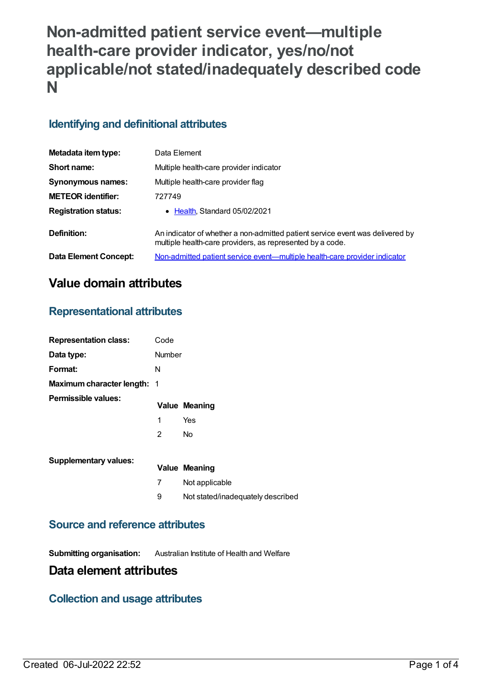# **Non-admitted patient service event—multiple health-care provider indicator, yes/no/not applicable/not stated/inadequately described code N**

### **Identifying and definitional attributes**

| Metadata item type:         | Data Element                                                                                                                               |
|-----------------------------|--------------------------------------------------------------------------------------------------------------------------------------------|
| Short name:                 | Multiple health-care provider indicator                                                                                                    |
| <b>Synonymous names:</b>    | Multiple health-care provider flag                                                                                                         |
| <b>METEOR identifier:</b>   | 727749                                                                                                                                     |
| <b>Registration status:</b> | • Health, Standard 05/02/2021                                                                                                              |
| Definition:                 | An indicator of whether a non-admitted patient service event was delivered by<br>multiple health-care providers, as represented by a code. |
| Data Element Concept:       | <u>Non-admitted patient service event—multiple health-care provider indicator</u>                                                          |

## **Value domain attributes**

#### **Representational attributes**

| <b>Representation class:</b>       | Code           |                                   |
|------------------------------------|----------------|-----------------------------------|
| Data type:                         | <b>Number</b>  |                                   |
| Format:                            | N              |                                   |
| <b>Maximum character length: 1</b> |                |                                   |
| Permissible values:                |                | <b>Value Meaning</b>              |
|                                    | 1              | Yes                               |
|                                    | $\overline{2}$ | <b>No</b>                         |
| <b>Supplementary values:</b>       |                | Value Meaning                     |
|                                    | 7              | Not applicable                    |
|                                    | 9              | Not stated/inadequately described |

#### **Source and reference attributes**

**Submitting organisation:** Australian Institute of Health and Welfare

### **Data element attributes**

#### **Collection and usage attributes**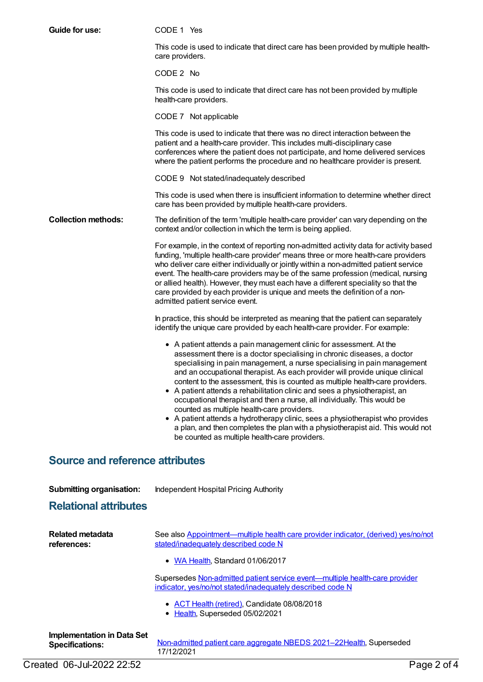| Guide for use:                                              | CODE 1 Yes                                                                                                                                                                                                                                                                                                                                                                                                                                                                                                                                                                                                                                                                                                                                                                                                               |
|-------------------------------------------------------------|--------------------------------------------------------------------------------------------------------------------------------------------------------------------------------------------------------------------------------------------------------------------------------------------------------------------------------------------------------------------------------------------------------------------------------------------------------------------------------------------------------------------------------------------------------------------------------------------------------------------------------------------------------------------------------------------------------------------------------------------------------------------------------------------------------------------------|
|                                                             | This code is used to indicate that direct care has been provided by multiple health-<br>care providers.                                                                                                                                                                                                                                                                                                                                                                                                                                                                                                                                                                                                                                                                                                                  |
|                                                             | CODE 2 No                                                                                                                                                                                                                                                                                                                                                                                                                                                                                                                                                                                                                                                                                                                                                                                                                |
|                                                             | This code is used to indicate that direct care has not been provided by multiple<br>health-care providers.                                                                                                                                                                                                                                                                                                                                                                                                                                                                                                                                                                                                                                                                                                               |
|                                                             | CODE 7 Not applicable                                                                                                                                                                                                                                                                                                                                                                                                                                                                                                                                                                                                                                                                                                                                                                                                    |
|                                                             | This code is used to indicate that there was no direct interaction between the<br>patient and a health-care provider. This includes multi-disciplinary case<br>conferences where the patient does not participate, and home delivered services<br>where the patient performs the procedure and no healthcare provider is present.                                                                                                                                                                                                                                                                                                                                                                                                                                                                                        |
|                                                             | CODE 9 Not stated/inadequately described                                                                                                                                                                                                                                                                                                                                                                                                                                                                                                                                                                                                                                                                                                                                                                                 |
|                                                             | This code is used when there is insufficient information to determine whether direct<br>care has been provided by multiple health-care providers.                                                                                                                                                                                                                                                                                                                                                                                                                                                                                                                                                                                                                                                                        |
| <b>Collection methods:</b>                                  | The definition of the term 'multiple health-care provider' can vary depending on the<br>context and/or collection in which the term is being applied.                                                                                                                                                                                                                                                                                                                                                                                                                                                                                                                                                                                                                                                                    |
|                                                             | For example, in the context of reporting non-admitted activity data for activity based<br>funding, 'multiple health-care provider' means three or more health-care providers<br>who deliver care either individually or jointly within a non-admitted patient service<br>event. The health-care providers may be of the same profession (medical, nursing<br>or allied health). However, they must each have a different speciality so that the<br>care provided by each provider is unique and meets the definition of a non-<br>admitted patient service event.                                                                                                                                                                                                                                                        |
|                                                             | In practice, this should be interpreted as meaning that the patient can separately<br>identify the unique care provided by each health-care provider. For example:                                                                                                                                                                                                                                                                                                                                                                                                                                                                                                                                                                                                                                                       |
|                                                             | • A patient attends a pain management clinic for assessment. At the<br>assessment there is a doctor specialising in chronic diseases, a doctor<br>specialising in pain management, a nurse specialising in pain management<br>and an occupational therapist. As each provider will provide unique clinical<br>content to the assessment, this is counted as multiple health-care providers.<br>• A patient attends a rehabilitation clinic and sees a physiotherapist, an<br>occupational therapist and then a nurse, all individually. This would be<br>counted as multiple health-care providers.<br>• A patient attends a hydrotherapy clinic, sees a physiotherapist who provides<br>a plan, and then completes the plan with a physiotherapist aid. This would not<br>be counted as multiple health-care providers. |
| <b>Source and reference attributes</b>                      |                                                                                                                                                                                                                                                                                                                                                                                                                                                                                                                                                                                                                                                                                                                                                                                                                          |
| <b>Submitting organisation:</b>                             | <b>Independent Hospital Pricing Authority</b>                                                                                                                                                                                                                                                                                                                                                                                                                                                                                                                                                                                                                                                                                                                                                                            |
| <b>Relational attributes</b>                                |                                                                                                                                                                                                                                                                                                                                                                                                                                                                                                                                                                                                                                                                                                                                                                                                                          |
| <b>Related metadata</b><br>references:                      | See also Appointment—multiple health care provider indicator, (derived) yes/no/not<br>stated/inadequately described code N                                                                                                                                                                                                                                                                                                                                                                                                                                                                                                                                                                                                                                                                                               |
|                                                             | • WA Health, Standard 01/06/2017                                                                                                                                                                                                                                                                                                                                                                                                                                                                                                                                                                                                                                                                                                                                                                                         |
|                                                             | Supersedes Non-admitted patient service event-multiple health-care provider<br>indicator, yes/no/not stated/inadequately described code N                                                                                                                                                                                                                                                                                                                                                                                                                                                                                                                                                                                                                                                                                |
|                                                             | • ACT Health (retired), Candidate 08/08/2018<br>• Health, Superseded 05/02/2021                                                                                                                                                                                                                                                                                                                                                                                                                                                                                                                                                                                                                                                                                                                                          |
| <b>Implementation in Data Set</b><br><b>Specifications:</b> | Non-admitted patient care aggregate NBEDS 2021-22Health, Superseded<br>17/12/2021                                                                                                                                                                                                                                                                                                                                                                                                                                                                                                                                                                                                                                                                                                                                        |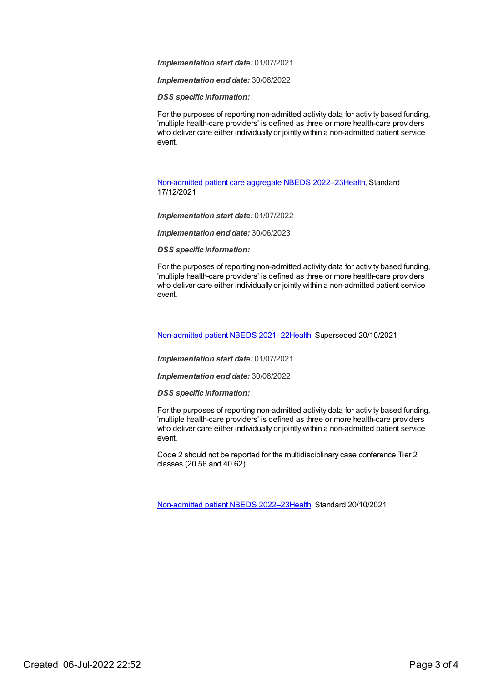*Implementation start date:* 01/07/2021

*Implementation end date:* 30/06/2022

*DSS specific information:*

For the purposes of reporting non-admitted activity data for activity based funding, 'multiple health-care providers' is defined as three or more health-care providers who deliver care either individually or jointly within a non-admitted patient service event.

[Non-admitted](https://meteor.aihw.gov.au/content/742050) patient care aggregate NBEDS 2022–23[Health](https://meteor.aihw.gov.au/RegistrationAuthority/12), Standard 17/12/2021

*Implementation start date:* 01/07/2022

*Implementation end date:* 30/06/2023

*DSS specific information:*

For the purposes of reporting non-admitted activity data for activity based funding, 'multiple health-care providers' is defined as three or more health-care providers who deliver care either individually or jointly within a non-admitted patient service event.

[Non-admitted](https://meteor.aihw.gov.au/content/727331) patient NBEDS 2021–2[2Health](https://meteor.aihw.gov.au/RegistrationAuthority/12), Superseded 20/10/2021

*Implementation start date:* 01/07/2021

*Implementation end date:* 30/06/2022

*DSS specific information:*

For the purposes of reporting non-admitted activity data for activity based funding, 'multiple health-care providers' is defined as three or more health-care providers who deliver care either individually or jointly within a non-admitted patient service event.

Code 2 should not be reported for the multidisciplinary case conference Tier 2 classes (20.56 and 40.62).

[Non-admitted](https://meteor.aihw.gov.au/content/742186) patient NBEDS 2022–2[3Health](https://meteor.aihw.gov.au/RegistrationAuthority/12), Standard 20/10/2021